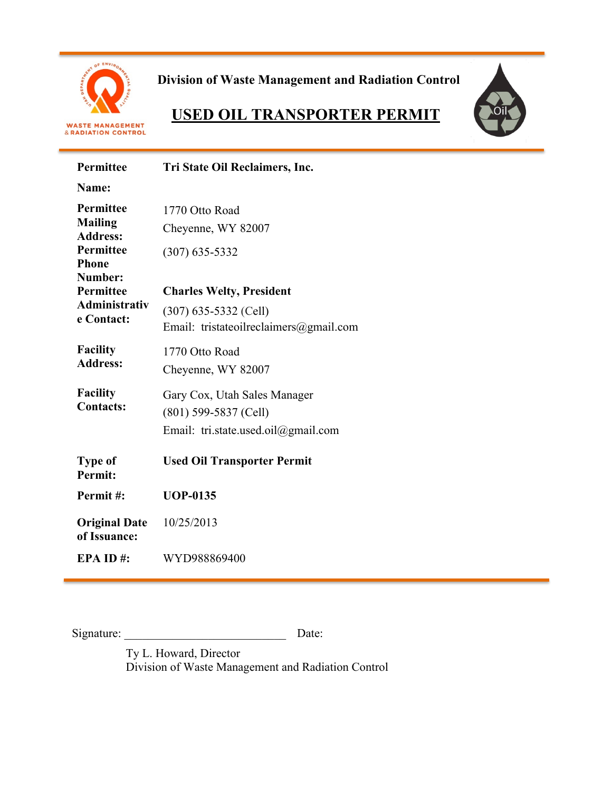

**Division of Waste Management and Radiation Control**

# **USED OIL TRANSPORTER PERMIT**



| Permittee                                              | Tri State Oil Reclaimers, Inc.                                    |  |  |
|--------------------------------------------------------|-------------------------------------------------------------------|--|--|
| Name:                                                  |                                                                   |  |  |
| <b>Permittee</b><br><b>Mailing</b><br><b>Address:</b>  | 1770 Otto Road<br>Cheyenne, WY 82007                              |  |  |
| <b>Permittee</b><br><b>Phone</b><br>Number:            | $(307) 635 - 5332$                                                |  |  |
| <b>Permittee</b><br><b>Administrativ</b><br>e Contact: | <b>Charles Welty, President</b>                                   |  |  |
|                                                        | $(307)$ 635-5332 (Cell)<br>Email: tristateoilreclaimers@gmail.com |  |  |
| <b>Facility</b>                                        | 1770 Otto Road                                                    |  |  |
| <b>Address:</b>                                        | Cheyenne, WY 82007                                                |  |  |
| <b>Facility</b><br><b>Contacts:</b>                    | Gary Cox, Utah Sales Manager<br>$(801)$ 599-5837 (Cell)           |  |  |
|                                                        | Email: tri.state.used.oil@gmail.com                               |  |  |
| <b>Type of</b><br><b>Permit:</b>                       | <b>Used Oil Transporter Permit</b>                                |  |  |
| Permit#:                                               | <b>UOP-0135</b>                                                   |  |  |
| <b>Original Date</b><br>of Issuance:                   | 10/25/2013                                                        |  |  |
| EPA ID#:                                               | WYD988869400                                                      |  |  |

Signature: \_\_\_\_\_\_\_\_\_\_\_\_\_\_\_\_\_\_\_\_\_\_\_\_\_\_\_ Date:

Ty L. Howard, Director Division of Waste Management and Radiation Control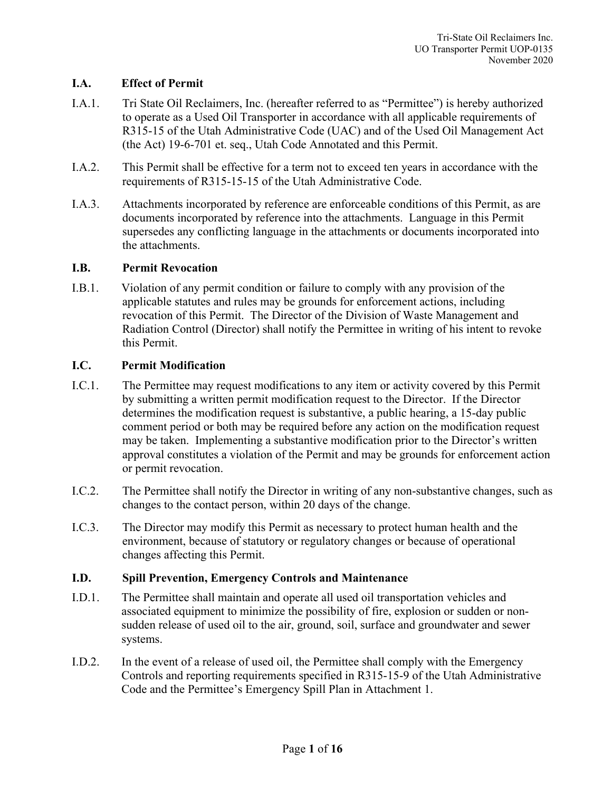## **I.A. Effect of Permit**

- I.A.1. Tri State Oil Reclaimers, Inc. (hereafter referred to as "Permittee") is hereby authorized to operate as a Used Oil Transporter in accordance with all applicable requirements of R315-15 of the Utah Administrative Code (UAC) and of the Used Oil Management Act (the Act) 19-6-701 et. seq., Utah Code Annotated and this Permit.
- I.A.2. This Permit shall be effective for a term not to exceed ten years in accordance with the requirements of R315-15-15 of the Utah Administrative Code.
- I.A.3. Attachments incorporated by reference are enforceable conditions of this Permit, as are documents incorporated by reference into the attachments. Language in this Permit supersedes any conflicting language in the attachments or documents incorporated into the attachments.

#### **I.B. Permit Revocation**

I.B.1. Violation of any permit condition or failure to comply with any provision of the applicable statutes and rules may be grounds for enforcement actions, including revocation of this Permit. The Director of the Division of Waste Management and Radiation Control (Director) shall notify the Permittee in writing of his intent to revoke this Permit.

# **I.C. Permit Modification**

- I.C.1. The Permittee may request modifications to any item or activity covered by this Permit by submitting a written permit modification request to the Director. If the Director determines the modification request is substantive, a public hearing, a 15-day public comment period or both may be required before any action on the modification request may be taken. Implementing a substantive modification prior to the Director's written approval constitutes a violation of the Permit and may be grounds for enforcement action or permit revocation.
- I.C.2. The Permittee shall notify the Director in writing of any non-substantive changes, such as changes to the contact person, within 20 days of the change.
- I.C.3. The Director may modify this Permit as necessary to protect human health and the environment, because of statutory or regulatory changes or because of operational changes affecting this Permit.

#### **I.D. Spill Prevention, Emergency Controls and Maintenance**

- I.D.1. The Permittee shall maintain and operate all used oil transportation vehicles and associated equipment to minimize the possibility of fire, explosion or sudden or nonsudden release of used oil to the air, ground, soil, surface and groundwater and sewer systems.
- I.D.2. In the event of a release of used oil, the Permittee shall comply with the Emergency Controls and reporting requirements specified in R315-15-9 of the Utah Administrative Code and the Permittee's Emergency Spill Plan in Attachment 1.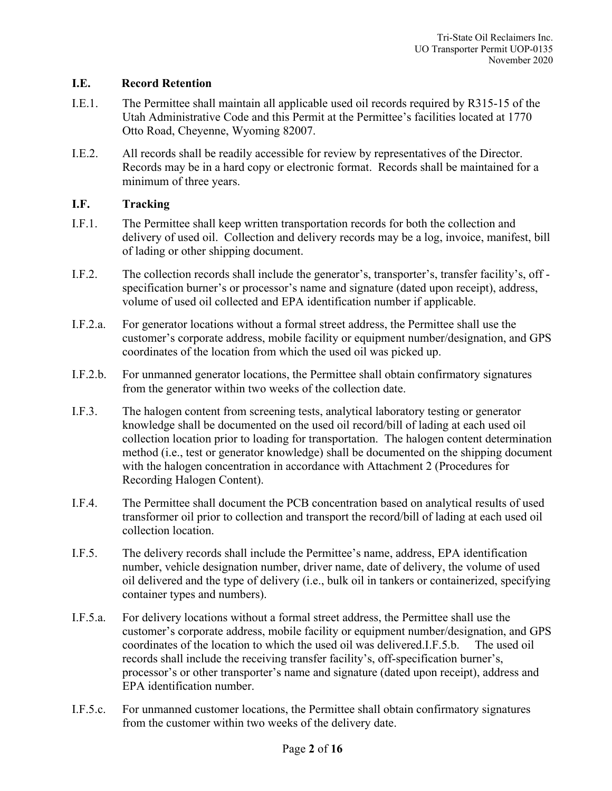## **I.E. Record Retention**

- I.E.1. The Permittee shall maintain all applicable used oil records required by R315-15 of the Utah Administrative Code and this Permit at the Permittee's facilities located at 1770 Otto Road, Cheyenne, Wyoming 82007.
- I.E.2. All records shall be readily accessible for review by representatives of the Director. Records may be in a hard copy or electronic format. Records shall be maintained for a minimum of three years.

# **I.F. Tracking**

- I.F.1. The Permittee shall keep written transportation records for both the collection and delivery of used oil. Collection and delivery records may be a log, invoice, manifest, bill of lading or other shipping document.
- I.F.2. The collection records shall include the generator's, transporter's, transfer facility's, off specification burner's or processor's name and signature (dated upon receipt), address, volume of used oil collected and EPA identification number if applicable.
- I.F.2.a. For generator locations without a formal street address, the Permittee shall use the customer's corporate address, mobile facility or equipment number/designation, and GPS coordinates of the location from which the used oil was picked up.
- I.F.2.b. For unmanned generator locations, the Permittee shall obtain confirmatory signatures from the generator within two weeks of the collection date.
- I.F.3. The halogen content from screening tests, analytical laboratory testing or generator knowledge shall be documented on the used oil record/bill of lading at each used oil collection location prior to loading for transportation. The halogen content determination method (i.e., test or generator knowledge) shall be documented on the shipping document with the halogen concentration in accordance with Attachment 2 (Procedures for Recording Halogen Content).
- I.F.4. The Permittee shall document the PCB concentration based on analytical results of used transformer oil prior to collection and transport the record/bill of lading at each used oil collection location.
- I.F.5. The delivery records shall include the Permittee's name, address, EPA identification number, vehicle designation number, driver name, date of delivery, the volume of used oil delivered and the type of delivery (i.e., bulk oil in tankers or containerized, specifying container types and numbers).
- I.F.5.a. For delivery locations without a formal street address, the Permittee shall use the customer's corporate address, mobile facility or equipment number/designation, and GPS coordinates of the location to which the used oil was delivered.I.F.5.b. The used oil records shall include the receiving transfer facility's, off-specification burner's, processor's or other transporter's name and signature (dated upon receipt), address and EPA identification number.
- I.F.5.c. For unmanned customer locations, the Permittee shall obtain confirmatory signatures from the customer within two weeks of the delivery date.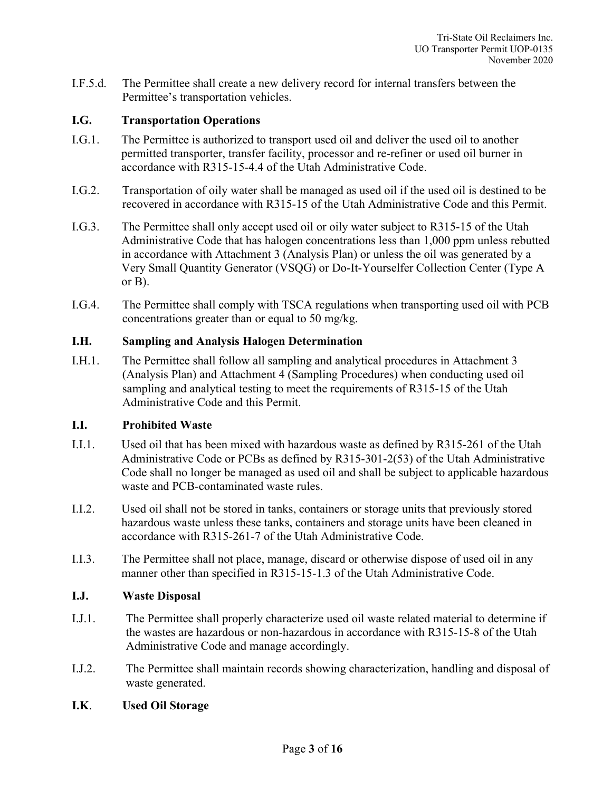I.F.5.d. The Permittee shall create a new delivery record for internal transfers between the Permittee's transportation vehicles.

## **I.G. Transportation Operations**

- I.G.1. The Permittee is authorized to transport used oil and deliver the used oil to another permitted transporter, transfer facility, processor and re-refiner or used oil burner in accordance with R315-15-4.4 of the Utah Administrative Code.
- I.G.2. Transportation of oily water shall be managed as used oil if the used oil is destined to be recovered in accordance with R315-15 of the Utah Administrative Code and this Permit.
- I.G.3. The Permittee shall only accept used oil or oily water subject to R315-15 of the Utah Administrative Code that has halogen concentrations less than 1,000 ppm unless rebutted in accordance with Attachment 3 (Analysis Plan) or unless the oil was generated by a Very Small Quantity Generator (VSQG) or Do-It-Yourselfer Collection Center (Type A or B).
- I.G.4. The Permittee shall comply with TSCA regulations when transporting used oil with PCB concentrations greater than or equal to 50 mg/kg.

#### **I.H. Sampling and Analysis Halogen Determination**

I.H.1. The Permittee shall follow all sampling and analytical procedures in Attachment 3 (Analysis Plan) and Attachment 4 (Sampling Procedures) when conducting used oil sampling and analytical testing to meet the requirements of R315-15 of the Utah Administrative Code and this Permit.

#### **I.I. Prohibited Waste**

- I.I.1. Used oil that has been mixed with hazardous waste as defined by R315-261 of the Utah Administrative Code or PCBs as defined by R315-301-2(53) of the Utah Administrative Code shall no longer be managed as used oil and shall be subject to applicable hazardous waste and PCB-contaminated waste rules.
- I.I.2. Used oil shall not be stored in tanks, containers or storage units that previously stored hazardous waste unless these tanks, containers and storage units have been cleaned in accordance with R315-261-7 of the Utah Administrative Code.
- I.I.3. The Permittee shall not place, manage, discard or otherwise dispose of used oil in any manner other than specified in R315-15-1.3 of the Utah Administrative Code.

#### **I.J. Waste Disposal**

- I.J.1. The Permittee shall properly characterize used oil waste related material to determine if the wastes are hazardous or non-hazardous in accordance with R315-15-8 of the Utah Administrative Code and manage accordingly.
- I.J.2. The Permittee shall maintain records showing characterization, handling and disposal of waste generated.

#### **I.K**. **Used Oil Storage**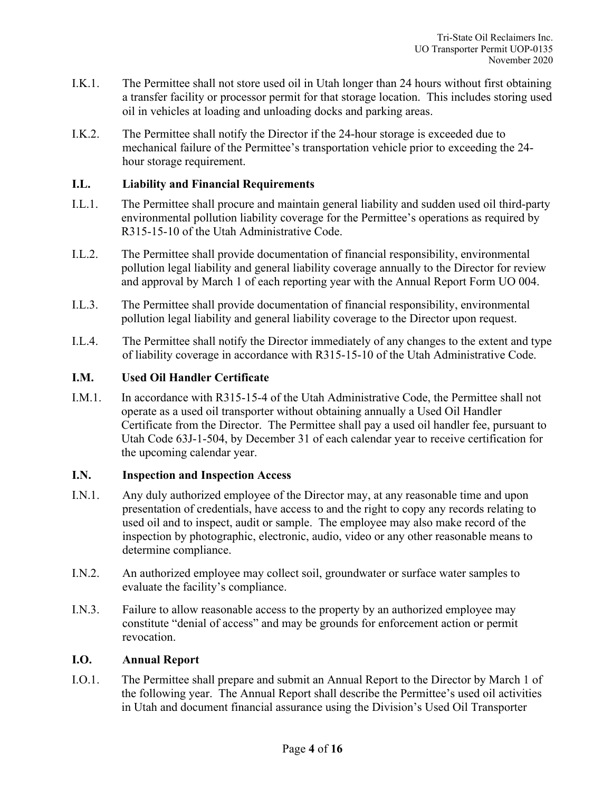- I.K.1. The Permittee shall not store used oil in Utah longer than 24 hours without first obtaining a transfer facility or processor permit for that storage location. This includes storing used oil in vehicles at loading and unloading docks and parking areas.
- I.K.2. The Permittee shall notify the Director if the 24-hour storage is exceeded due to mechanical failure of the Permittee's transportation vehicle prior to exceeding the 24 hour storage requirement.

## **I.L. Liability and Financial Requirements**

- I.L.1. The Permittee shall procure and maintain general liability and sudden used oil third-party environmental pollution liability coverage for the Permittee's operations as required by R315-15-10 of the Utah Administrative Code.
- I.L.2. The Permittee shall provide documentation of financial responsibility, environmental pollution legal liability and general liability coverage annually to the Director for review and approval by March 1 of each reporting year with the Annual Report Form UO 004.
- I.L.3. The Permittee shall provide documentation of financial responsibility, environmental pollution legal liability and general liability coverage to the Director upon request.
- I.L.4. The Permittee shall notify the Director immediately of any changes to the extent and type of liability coverage in accordance with R315-15-10 of the Utah Administrative Code.

## **I.M. Used Oil Handler Certificate**

I.M.1. In accordance with R315-15-4 of the Utah Administrative Code, the Permittee shall not operate as a used oil transporter without obtaining annually a Used Oil Handler Certificate from the Director. The Permittee shall pay a used oil handler fee, pursuant to Utah Code 63J-1-504, by December 31 of each calendar year to receive certification for the upcoming calendar year.

#### **I.N. Inspection and Inspection Access**

- I.N.1. Any duly authorized employee of the Director may, at any reasonable time and upon presentation of credentials, have access to and the right to copy any records relating to used oil and to inspect, audit or sample. The employee may also make record of the inspection by photographic, electronic, audio, video or any other reasonable means to determine compliance.
- I.N.2. An authorized employee may collect soil, groundwater or surface water samples to evaluate the facility's compliance.
- I.N.3. Failure to allow reasonable access to the property by an authorized employee may constitute "denial of access" and may be grounds for enforcement action or permit revocation.

#### **I.O. Annual Report**

I.O.1. The Permittee shall prepare and submit an Annual Report to the Director by March 1 of the following year. The Annual Report shall describe the Permittee's used oil activities in Utah and document financial assurance using the Division's Used Oil Transporter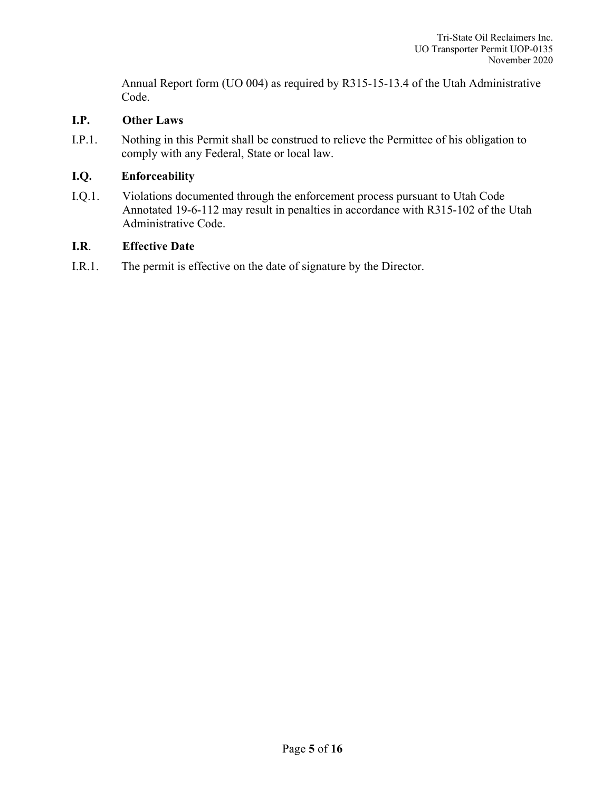Annual Report form (UO 004) as required by R315-15-13.4 of the Utah Administrative Code.

## **I.P. Other Laws**

I.P.1. Nothing in this Permit shall be construed to relieve the Permittee of his obligation to comply with any Federal, State or local law.

## **I.Q. Enforceability**

I.Q.1. Violations documented through the enforcement process pursuant to Utah Code Annotated 19-6-112 may result in penalties in accordance with R315-102 of the Utah Administrative Code.

## **I.R**. **Effective Date**

I.R.1. The permit is effective on the date of signature by the Director.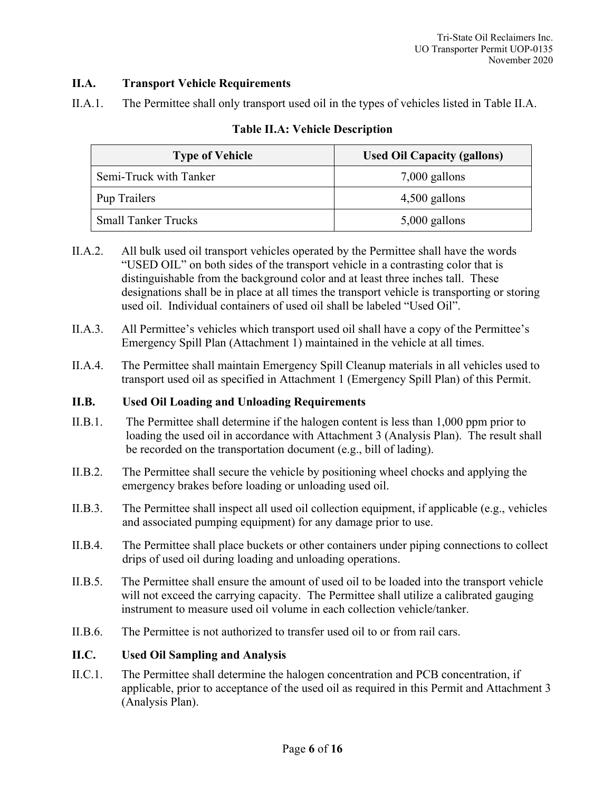# **II.A. Transport Vehicle Requirements**

II.A.1. The Permittee shall only transport used oil in the types of vehicles listed in Table II.A.

| <b>Type of Vehicle</b>     | <b>Used Oil Capacity (gallons)</b> |  |
|----------------------------|------------------------------------|--|
| Semi-Truck with Tanker     | $7,000$ gallons                    |  |
| Pup Trailers               | $4,500$ gallons                    |  |
| <b>Small Tanker Trucks</b> | $5,000$ gallons                    |  |

# **Table II.A: Vehicle Description**

- II.A.2. All bulk used oil transport vehicles operated by the Permittee shall have the words "USED OIL" on both sides of the transport vehicle in a contrasting color that is distinguishable from the background color and at least three inches tall. These designations shall be in place at all times the transport vehicle is transporting or storing used oil. Individual containers of used oil shall be labeled "Used Oil".
- II.A.3. All Permittee's vehicles which transport used oil shall have a copy of the Permittee's Emergency Spill Plan (Attachment 1) maintained in the vehicle at all times.
- II.A.4. The Permittee shall maintain Emergency Spill Cleanup materials in all vehicles used to transport used oil as specified in Attachment 1 (Emergency Spill Plan) of this Permit.

# **II.B. Used Oil Loading and Unloading Requirements**

- II.B.1. The Permittee shall determine if the halogen content is less than 1,000 ppm prior to loading the used oil in accordance with Attachment 3 (Analysis Plan). The result shall be recorded on the transportation document (e.g., bill of lading).
- II.B.2. The Permittee shall secure the vehicle by positioning wheel chocks and applying the emergency brakes before loading or unloading used oil.
- II.B.3. The Permittee shall inspect all used oil collection equipment, if applicable (e.g., vehicles and associated pumping equipment) for any damage prior to use.
- II.B.4. The Permittee shall place buckets or other containers under piping connections to collect drips of used oil during loading and unloading operations.
- II.B.5. The Permittee shall ensure the amount of used oil to be loaded into the transport vehicle will not exceed the carrying capacity. The Permittee shall utilize a calibrated gauging instrument to measure used oil volume in each collection vehicle/tanker.
- II.B.6. The Permittee is not authorized to transfer used oil to or from rail cars.

# **II.C. Used Oil Sampling and Analysis**

II.C.1. The Permittee shall determine the halogen concentration and PCB concentration, if applicable, prior to acceptance of the used oil as required in this Permit and Attachment 3 (Analysis Plan).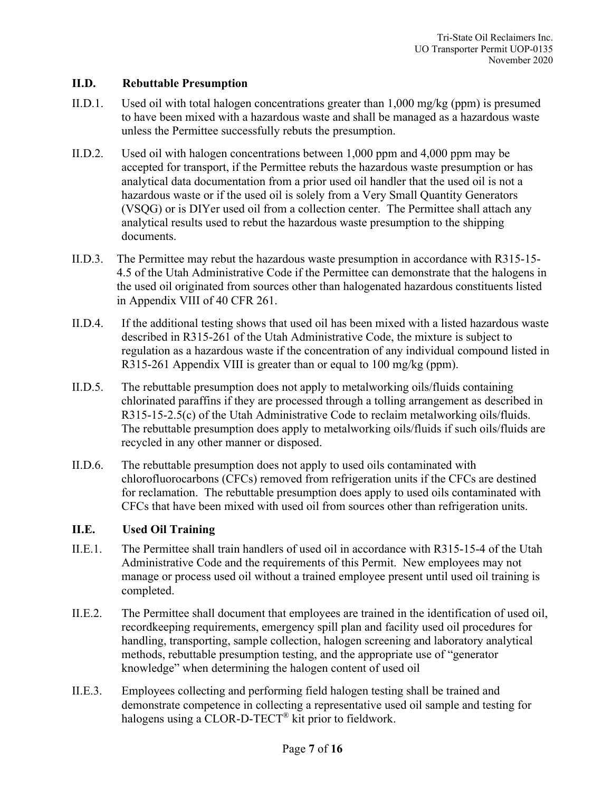## **II.D. Rebuttable Presumption**

- II.D.1. Used oil with total halogen concentrations greater than 1,000 mg/kg (ppm) is presumed to have been mixed with a hazardous waste and shall be managed as a hazardous waste unless the Permittee successfully rebuts the presumption.
- II.D.2. Used oil with halogen concentrations between 1,000 ppm and 4,000 ppm may be accepted for transport, if the Permittee rebuts the hazardous waste presumption or has analytical data documentation from a prior used oil handler that the used oil is not a hazardous waste or if the used oil is solely from a Very Small Quantity Generators (VSQG) or is DIYer used oil from a collection center. The Permittee shall attach any analytical results used to rebut the hazardous waste presumption to the shipping documents.
- II.D.3. The Permittee may rebut the hazardous waste presumption in accordance with R315-15- 4.5 of the Utah Administrative Code if the Permittee can demonstrate that the halogens in the used oil originated from sources other than halogenated hazardous constituents listed in Appendix VIII of 40 CFR 261.
- II.D.4. If the additional testing shows that used oil has been mixed with a listed hazardous waste described in R315-261 of the Utah Administrative Code, the mixture is subject to regulation as a hazardous waste if the concentration of any individual compound listed in R315-261 Appendix VIII is greater than or equal to 100 mg/kg (ppm).
- II.D.5. The rebuttable presumption does not apply to metalworking oils/fluids containing chlorinated paraffins if they are processed through a tolling arrangement as described in R315-15-2.5(c) of the Utah Administrative Code to reclaim metalworking oils/fluids. The rebuttable presumption does apply to metalworking oils/fluids if such oils/fluids are recycled in any other manner or disposed.
- II.D.6. The rebuttable presumption does not apply to used oils contaminated with chlorofluorocarbons (CFCs) removed from refrigeration units if the CFCs are destined for reclamation. The rebuttable presumption does apply to used oils contaminated with CFCs that have been mixed with used oil from sources other than refrigeration units.

## **II.E. Used Oil Training**

- II.E.1. The Permittee shall train handlers of used oil in accordance with R315-15-4 of the Utah Administrative Code and the requirements of this Permit. New employees may not manage or process used oil without a trained employee present until used oil training is completed.
- II.E.2. The Permittee shall document that employees are trained in the identification of used oil, recordkeeping requirements, emergency spill plan and facility used oil procedures for handling, transporting, sample collection, halogen screening and laboratory analytical methods, rebuttable presumption testing, and the appropriate use of "generator knowledge" when determining the halogen content of used oil
- II.E.3. Employees collecting and performing field halogen testing shall be trained and demonstrate competence in collecting a representative used oil sample and testing for halogens using a CLOR-D-TECT® kit prior to fieldwork.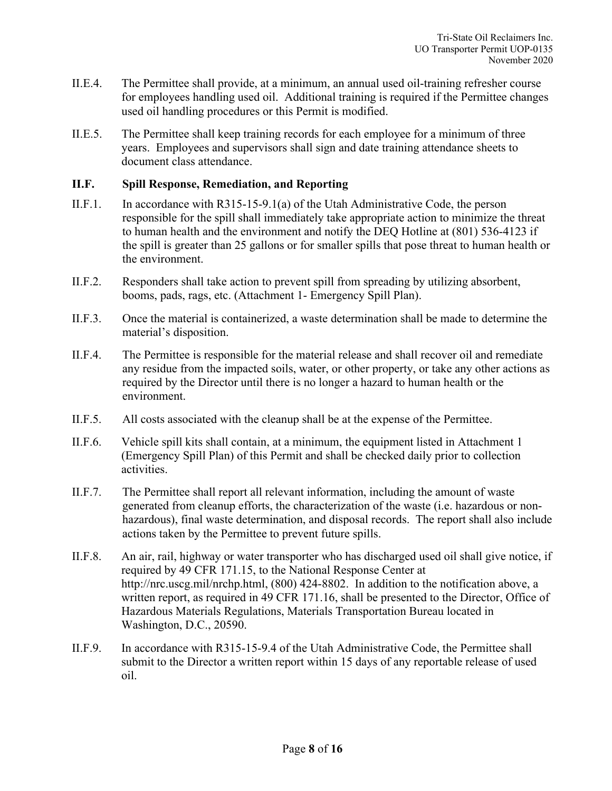- II.E.4. The Permittee shall provide, at a minimum, an annual used oil-training refresher course for employees handling used oil. Additional training is required if the Permittee changes used oil handling procedures or this Permit is modified.
- II.E.5. The Permittee shall keep training records for each employee for a minimum of three years. Employees and supervisors shall sign and date training attendance sheets to document class attendance.

#### **II.F. Spill Response, Remediation, and Reporting**

- II.F.1. In accordance with R315-15-9.1(a) of the Utah Administrative Code, the person responsible for the spill shall immediately take appropriate action to minimize the threat to human health and the environment and notify the DEQ Hotline at (801) 536-4123 if the spill is greater than 25 gallons or for smaller spills that pose threat to human health or the environment.
- II.F.2. Responders shall take action to prevent spill from spreading by utilizing absorbent, booms, pads, rags, etc. (Attachment 1- Emergency Spill Plan).
- II.F.3. Once the material is containerized, a waste determination shall be made to determine the material's disposition.
- II.F.4. The Permittee is responsible for the material release and shall recover oil and remediate any residue from the impacted soils, water, or other property, or take any other actions as required by the Director until there is no longer a hazard to human health or the environment.
- II.F.5. All costs associated with the cleanup shall be at the expense of the Permittee.
- II.F.6. Vehicle spill kits shall contain, at a minimum, the equipment listed in Attachment 1 (Emergency Spill Plan) of this Permit and shall be checked daily prior to collection activities.
- II.F.7. The Permittee shall report all relevant information, including the amount of waste generated from cleanup efforts, the characterization of the waste (i.e. hazardous or nonhazardous), final waste determination, and disposal records. The report shall also include actions taken by the Permittee to prevent future spills.
- II.F.8. An air, rail, highway or water transporter who has discharged used oil shall give notice, if required by 49 CFR 171.15, to the National Response Center at http://nrc.uscg.mil/nrchp.html, (800) 424-8802. In addition to the notification above, a written report, as required in 49 CFR 171.16, shall be presented to the Director, Office of Hazardous Materials Regulations, Materials Transportation Bureau located in Washington, D.C., 20590.
- II.F.9. In accordance with R315-15-9.4 of the Utah Administrative Code, the Permittee shall submit to the Director a written report within 15 days of any reportable release of used oil.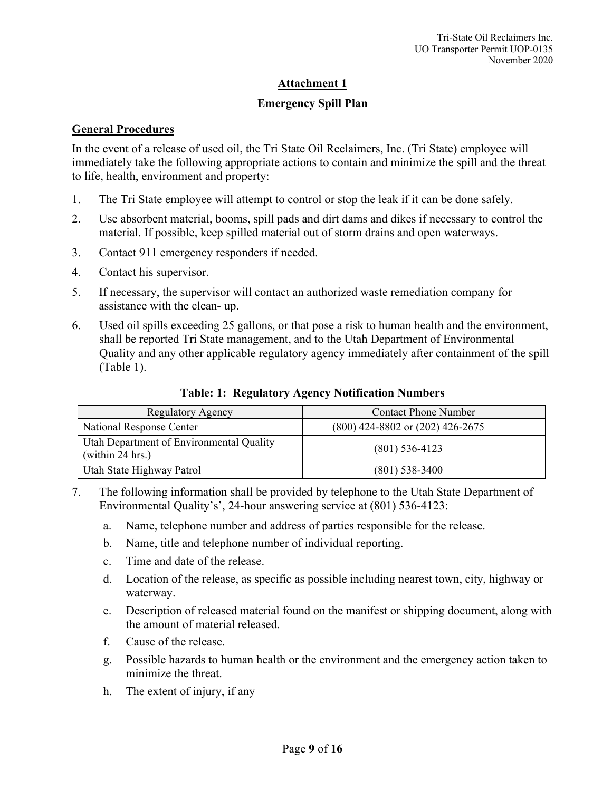## **Emergency Spill Plan**

#### **General Procedures**

In the event of a release of used oil, the Tri State Oil Reclaimers, Inc. (Tri State) employee will immediately take the following appropriate actions to contain and minimize the spill and the threat to life, health, environment and property:

- 1. The Tri State employee will attempt to control or stop the leak if it can be done safely.
- 2. Use absorbent material, booms, spill pads and dirt dams and dikes if necessary to control the material. If possible, keep spilled material out of storm drains and open waterways.
- 3. Contact 911 emergency responders if needed.
- 4. Contact his supervisor.
- 5. If necessary, the supervisor will contact an authorized waste remediation company for assistance with the clean- up.
- 6. Used oil spills exceeding 25 gallons, or that pose a risk to human health and the environment, shall be reported Tri State management, and to the Utah Department of Environmental Quality and any other applicable regulatory agency immediately after containment of the spill (Table 1).

| Regulatory Agency                                            | <b>Contact Phone Number</b>          |
|--------------------------------------------------------------|--------------------------------------|
| National Response Center                                     | $(800)$ 424-8802 or $(202)$ 426-2675 |
| Utah Department of Environmental Quality<br>(within 24 hrs.) | $(801)$ 536-4123                     |
| Utah State Highway Patrol                                    | $(801)$ 538-3400                     |

**Table: 1: Regulatory Agency Notification Numbers**

- 7. The following information shall be provided by telephone to the Utah State Department of Environmental Quality's', 24-hour answering service at (801) 536-4123:
	- a. Name, telephone number and address of parties responsible for the release.
	- b. Name, title and telephone number of individual reporting.
	- c. Time and date of the release.
	- d. Location of the release, as specific as possible including nearest town, city, highway or waterway.
	- e. Description of released material found on the manifest or shipping document, along with the amount of material released.
	- f. Cause of the release.
	- g. Possible hazards to human health or the environment and the emergency action taken to minimize the threat.
	- h. The extent of injury, if any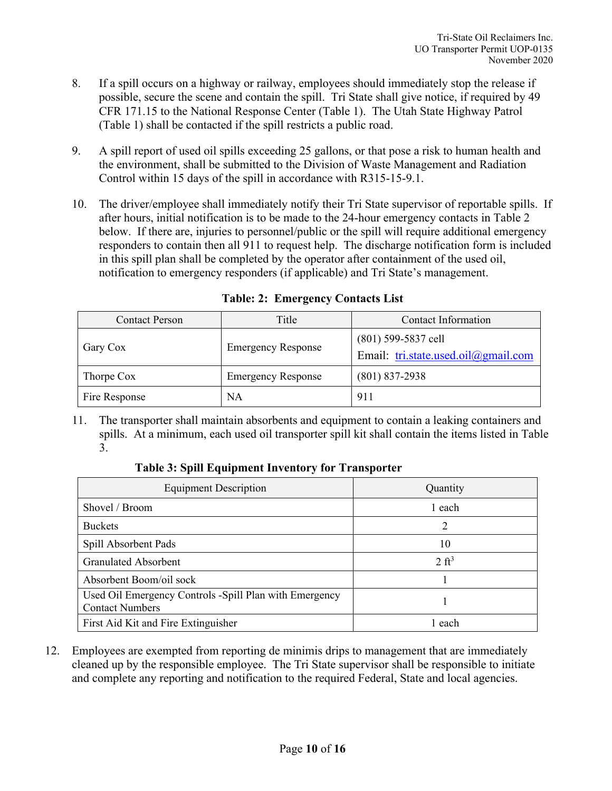- 8. If a spill occurs on a highway or railway, employees should immediately stop the release if possible, secure the scene and contain the spill. Tri State shall give notice, if required by 49 CFR 171.15 to the National Response Center (Table 1). The Utah State Highway Patrol (Table 1) shall be contacted if the spill restricts a public road.
- 9. A spill report of used oil spills exceeding 25 gallons, or that pose a risk to human health and the environment, shall be submitted to the Division of Waste Management and Radiation Control within 15 days of the spill in accordance with R315-15-9.1.
- 10. The driver/employee shall immediately notify their Tri State supervisor of reportable spills. If after hours, initial notification is to be made to the 24-hour emergency contacts in Table 2 below. If there are, injuries to personnel/public or the spill will require additional emergency responders to contain then all 911 to request help. The discharge notification form is included in this spill plan shall be completed by the operator after containment of the used oil, notification to emergency responders (if applicable) and Tri State's management.

| <b>Contact Person</b> | Title                     | Contact Information                                          |  |
|-----------------------|---------------------------|--------------------------------------------------------------|--|
| Gary Cox              | <b>Emergency Response</b> | $(801)$ 599-5837 cell<br>Email: tri.state.used.oil@gmail.com |  |
| Thorpe Cox            | <b>Emergency Response</b> | $(801)$ 837-2938                                             |  |
| Fire Response         | NA                        | 911                                                          |  |

**Table: 2: Emergency Contacts List**

11. The transporter shall maintain absorbents and equipment to contain a leaking containers and spills. At a minimum, each used oil transporter spill kit shall contain the items listed in Table 3.

**Table 3: Spill Equipment Inventory for Transporter**

| <b>Equipment Description</b>                                                     | Quantity         |  |
|----------------------------------------------------------------------------------|------------------|--|
| Shovel / Broom                                                                   | 1 each           |  |
| <b>Buckets</b>                                                                   | 2                |  |
| Spill Absorbent Pads                                                             | 10               |  |
| <b>Granulated Absorbent</b>                                                      | $2 \text{ ft}^3$ |  |
| Absorbent Boom/oil sock                                                          |                  |  |
| Used Oil Emergency Controls -Spill Plan with Emergency<br><b>Contact Numbers</b> |                  |  |
| First Aid Kit and Fire Extinguisher                                              | 1 each           |  |

12. Employees are exempted from reporting de minimis drips to management that are immediately cleaned up by the responsible employee. The Tri State supervisor shall be responsible to initiate and complete any reporting and notification to the required Federal, State and local agencies.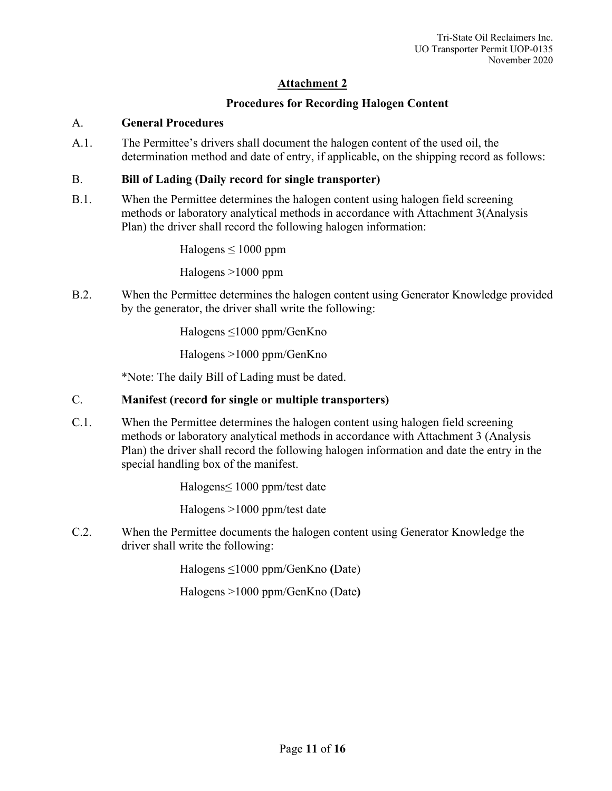# **Procedures for Recording Halogen Content**

## A. **General Procedures**

A.1. The Permittee's drivers shall document the halogen content of the used oil, the determination method and date of entry, if applicable, on the shipping record as follows:

## B. **Bill of Lading (Daily record for single transporter)**

B.1. When the Permittee determines the halogen content using halogen field screening methods or laboratory analytical methods in accordance with Attachment 3(Analysis Plan) the driver shall record the following halogen information:

Halogens  $\leq 1000$  ppm

Halogens >1000 ppm

B.2. When the Permittee determines the halogen content using Generator Knowledge provided by the generator, the driver shall write the following:

Halogens ≤1000 ppm/GenKno

Halogens >1000 ppm/GenKno

\*Note: The daily Bill of Lading must be dated.

# C. **Manifest (record for single or multiple transporters)**

C.1. When the Permittee determines the halogen content using halogen field screening methods or laboratory analytical methods in accordance with Attachment 3 (Analysis Plan) the driver shall record the following halogen information and date the entry in the special handling box of the manifest.

Halogens≤ 1000 ppm/test date

Halogens >1000 ppm/test date

C.2. When the Permittee documents the halogen content using Generator Knowledge the driver shall write the following:

Halogens ≤1000 ppm/GenKno **(**Date)

Halogens >1000 ppm/GenKno (Date**)**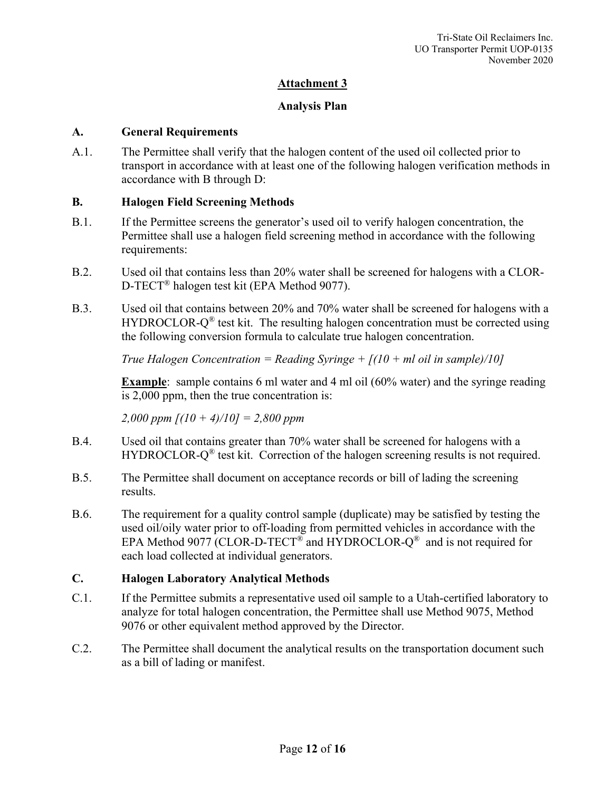## **Analysis Plan**

#### **A. General Requirements**

A.1. The Permittee shall verify that the halogen content of the used oil collected prior to transport in accordance with at least one of the following halogen verification methods in accordance with B through D:

## **B. Halogen Field Screening Methods**

- B.1. If the Permittee screens the generator's used oil to verify halogen concentration, the Permittee shall use a halogen field screening method in accordance with the following requirements:
- B.2. Used oil that contains less than 20% water shall be screened for halogens with a CLOR-D-TECT® halogen test kit (EPA Method 9077).
- B.3. Used oil that contains between 20% and 70% water shall be screened for halogens with a HYDROCLOR- $Q^{\circledR}$  test kit. The resulting halogen concentration must be corrected using the following conversion formula to calculate true halogen concentration.

*True Halogen Concentration = Reading Syringe + [(10 + ml oil in sample)/10]*

**Example**: sample contains 6 ml water and 4 ml oil (60% water) and the syringe reading is 2,000 ppm, then the true concentration is:

*2,000 ppm [(10 + 4)/10] = 2,800 ppm*

- B.4. Used oil that contains greater than 70% water shall be screened for halogens with a HYDROCLOR- $Q^{\circledR}$  test kit. Correction of the halogen screening results is not required.
- B.5. The Permittee shall document on acceptance records or bill of lading the screening results.
- B.6. The requirement for a quality control sample (duplicate) may be satisfied by testing the used oil/oily water prior to off-loading from permitted vehicles in accordance with the EPA Method 9077 (CLOR-D-TECT<sup>®</sup> and HYDROCLOR- $Q^{\otimes}$  and is not required for each load collected at individual generators.

#### **C. Halogen Laboratory Analytical Methods**

- C.1. If the Permittee submits a representative used oil sample to a Utah-certified laboratory to analyze for total halogen concentration, the Permittee shall use Method 9075, Method 9076 or other equivalent method approved by the Director.
- C.2. The Permittee shall document the analytical results on the transportation document such as a bill of lading or manifest.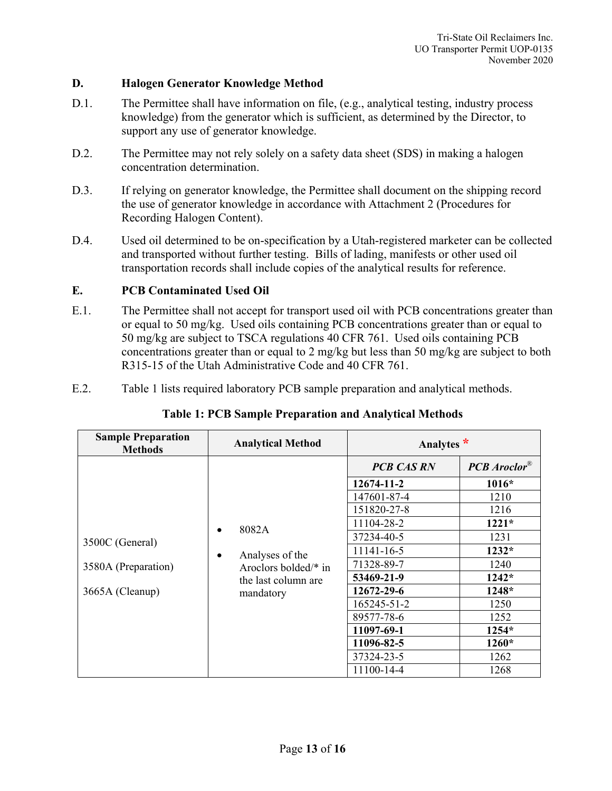#### **D. Halogen Generator Knowledge Method**

- D.1. The Permittee shall have information on file, (e.g., analytical testing, industry process knowledge) from the generator which is sufficient, as determined by the Director, to support any use of generator knowledge.
- D.2. The Permittee may not rely solely on a safety data sheet (SDS) in making a halogen concentration determination.
- D.3. If relying on generator knowledge, the Permittee shall document on the shipping record the use of generator knowledge in accordance with Attachment 2 (Procedures for Recording Halogen Content).
- D.4. Used oil determined to be on-specification by a Utah-registered marketer can be collected and transported without further testing. Bills of lading, manifests or other used oil transportation records shall include copies of the analytical results for reference.

# **E. PCB Contaminated Used Oil**

- E.1. The Permittee shall not accept for transport used oil with PCB concentrations greater than or equal to 50 mg/kg. Used oils containing PCB concentrations greater than or equal to 50 mg/kg are subject to TSCA regulations 40 CFR 761. Used oils containing PCB concentrations greater than or equal to 2 mg/kg but less than 50 mg/kg are subject to both R315-15 of the Utah Administrative Code and 40 CFR 761.
- E.2. Table 1 lists required laboratory PCB sample preparation and analytical methods.

| <b>Sample Preparation</b><br><b>Methods</b>               | <b>Analytical Method</b>                                                                               | Analytes *        |                |
|-----------------------------------------------------------|--------------------------------------------------------------------------------------------------------|-------------------|----------------|
| 3500C (General)<br>3580A (Preparation)<br>3665A (Cleanup) | 8082A<br>$\bullet$<br>Analyses of the<br>٠<br>Aroclors bolded/* in<br>the last column are<br>mandatory | <b>PCB CAS RN</b> | $PCB$ Aroclor® |
|                                                           |                                                                                                        | 12674-11-2        | $1016*$        |
|                                                           |                                                                                                        | 147601-87-4       | 1210           |
|                                                           |                                                                                                        | 151820-27-8       | 1216           |
|                                                           |                                                                                                        | 11104-28-2        | $1221*$        |
|                                                           |                                                                                                        | 37234-40-5        | 1231           |
|                                                           |                                                                                                        | 11141-16-5        | $1232*$        |
|                                                           |                                                                                                        | 71328-89-7        | 1240           |
|                                                           |                                                                                                        | 53469-21-9        | $1242*$        |
|                                                           |                                                                                                        | 12672-29-6        | 1248*          |
|                                                           |                                                                                                        | 165245-51-2       | 1250           |
|                                                           |                                                                                                        | 89577-78-6        | 1252           |
|                                                           |                                                                                                        | 11097-69-1        | 1254*          |
|                                                           |                                                                                                        | 11096-82-5        | $1260*$        |
|                                                           |                                                                                                        | 37324-23-5        | 1262           |
|                                                           |                                                                                                        | 11100-14-4        | 1268           |

# **Table 1: PCB Sample Preparation and Analytical Methods**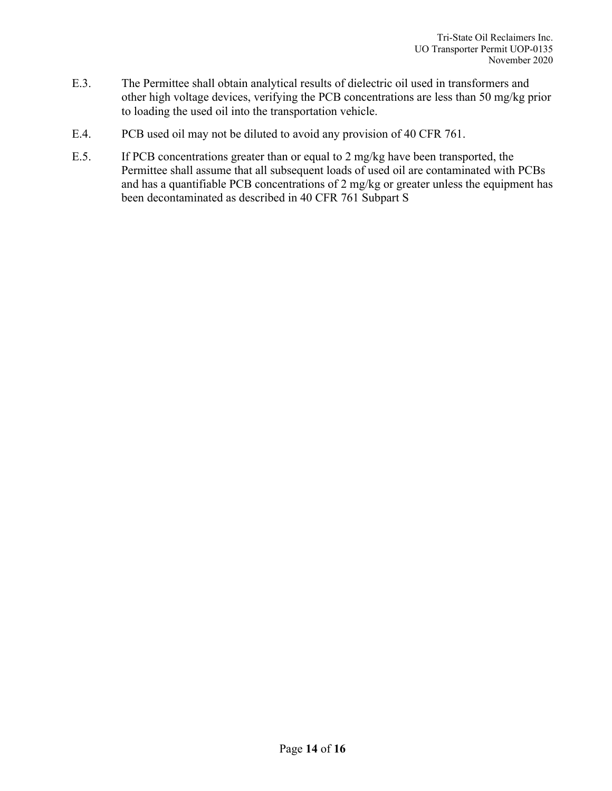- E.3. The Permittee shall obtain analytical results of dielectric oil used in transformers and other high voltage devices, verifying the PCB concentrations are less than 50 mg/kg prior to loading the used oil into the transportation vehicle.
- E.4. PCB used oil may not be diluted to avoid any provision of 40 CFR 761.
- E.5. If PCB concentrations greater than or equal to 2 mg/kg have been transported, the Permittee shall assume that all subsequent loads of used oil are contaminated with PCBs and has a quantifiable PCB concentrations of 2 mg/kg or greater unless the equipment has been decontaminated as described in 40 CFR 761 Subpart S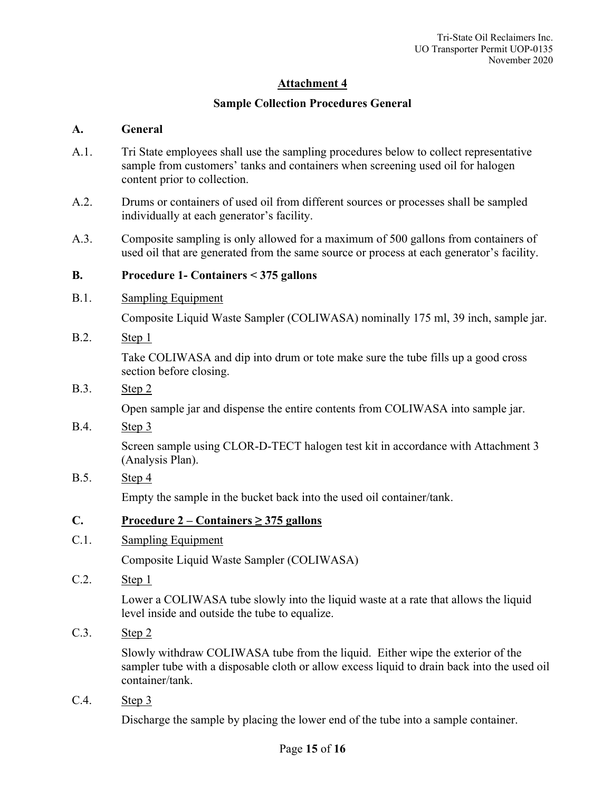## **Sample Collection Procedures General**

#### **A. General**

- A.1. Tri State employees shall use the sampling procedures below to collect representative sample from customers' tanks and containers when screening used oil for halogen content prior to collection.
- A.2. Drums or containers of used oil from different sources or processes shall be sampled individually at each generator's facility.
- A.3. Composite sampling is only allowed for a maximum of 500 gallons from containers of used oil that are generated from the same source or process at each generator's facility.

#### **B. Procedure 1- Containers < 375 gallons**

B.1. Sampling Equipment

Composite Liquid Waste Sampler (COLIWASA) nominally 175 ml, 39 inch, sample jar.

B.2. Step 1

Take COLIWASA and dip into drum or tote make sure the tube fills up a good cross section before closing.

#### B.3. Step 2

Open sample jar and dispense the entire contents from COLIWASA into sample jar.

B.4. Step 3

Screen sample using CLOR-D-TECT halogen test kit in accordance with Attachment 3 (Analysis Plan).

B.5. Step 4

Empty the sample in the bucket back into the used oil container/tank.

#### **C. Procedure 2 – Containers ≥ 375 gallons**

C.1. Sampling Equipment

Composite Liquid Waste Sampler (COLIWASA)

C.2. Step 1

Lower a COLIWASA tube slowly into the liquid waste at a rate that allows the liquid level inside and outside the tube to equalize.

C.3. Step 2

Slowly withdraw COLIWASA tube from the liquid. Either wipe the exterior of the sampler tube with a disposable cloth or allow excess liquid to drain back into the used oil container/tank.

C.4. Step 3

Discharge the sample by placing the lower end of the tube into a sample container.